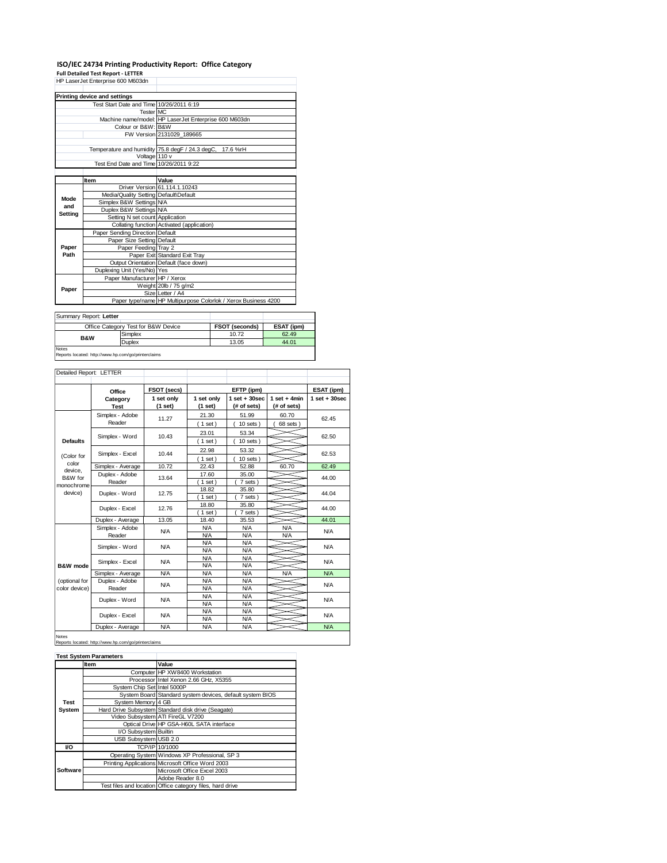# **ISO/IEC 24734 Printing Productivity Report: Office Category Full Detailed Test Report - LETTER** HP LaserJet Enterprise 600 M603dn

|         | THE LASSING ENTRIDITIES DUO MOUSCIN      |                                                                |  |  |  |
|---------|------------------------------------------|----------------------------------------------------------------|--|--|--|
|         |                                          |                                                                |  |  |  |
|         | Printing device and settings             |                                                                |  |  |  |
|         | Test Start Date and Time 10/26/2011 6:19 |                                                                |  |  |  |
|         | Tester MC                                |                                                                |  |  |  |
|         |                                          | Machine name/model: HP LaserJet Enterprise 600 M603dn          |  |  |  |
|         | Colour or B&W: B&W                       |                                                                |  |  |  |
|         |                                          | FW Version 2131029 189665                                      |  |  |  |
|         |                                          |                                                                |  |  |  |
|         |                                          | Temperature and humidity 75.8 degF / 24.3 degC, 17.6 %rH       |  |  |  |
|         | Voltage 110 v                            |                                                                |  |  |  |
|         | Test End Date and Time 10/26/2011 9:22   |                                                                |  |  |  |
|         |                                          |                                                                |  |  |  |
|         | Item                                     | Value                                                          |  |  |  |
|         |                                          | Driver Version 61.114.1.10243                                  |  |  |  |
| Mode    | Media/Quality Setting Default\Default    |                                                                |  |  |  |
| and     | Simplex B&W Settings N/A                 |                                                                |  |  |  |
| Setting | Duplex B&W Settings N/A                  |                                                                |  |  |  |
|         | Setting N set count Application          |                                                                |  |  |  |
|         |                                          | Collating function Activated (application)                     |  |  |  |
|         | Paper Sending Direction Default          |                                                                |  |  |  |
|         | Paper Size Setting Default               |                                                                |  |  |  |
| Paper   | Paper Feeding Tray 2                     |                                                                |  |  |  |
| Path    |                                          | Paper Exit Standard Exit Tray                                  |  |  |  |
|         |                                          | Output Orientation Default (face down)                         |  |  |  |
|         | Duplexing Unit (Yes/No) Yes              |                                                                |  |  |  |
| Paper   | Paper Manufacturer HP / Xerox            |                                                                |  |  |  |
|         |                                          | Weight 20lb / 75 g/m2                                          |  |  |  |
|         |                                          | Size Letter / A4                                               |  |  |  |
|         |                                          | Paper type/name HP Multipurpose Colorlok / Xerox Business 4200 |  |  |  |

| Summary Report: Letter |                                     |                       |            |  |
|------------------------|-------------------------------------|-----------------------|------------|--|
|                        | Office Category Test for B&W Device | <b>FSOT (seconds)</b> | ESAT (ipm) |  |
| <b>B&amp;W</b>         | Simplex                             | 10.72                 | 62.49      |  |
|                        | Duplex                              | 13.05                 | 44.01      |  |
| <b>Notes</b>           |                                     |                       |            |  |

Reports located: http://www.hp.com/go/printerclaims

| Detailed Report: LETTER        |                           |                       |                          |                                  |                               |                   |
|--------------------------------|---------------------------|-----------------------|--------------------------|----------------------------------|-------------------------------|-------------------|
|                                | Office                    | FSOT (secs)           |                          | EFTP (ipm)                       |                               | ESAT (ipm)        |
|                                | Category<br><b>Test</b>   | 1 set only<br>(1 set) | 1 set only<br>(1 set)    | $1$ set $+30$ sec<br>(# of sets) | $1$ set + 4min<br>(# of sets) | $1$ set $+30$ sec |
|                                | Simplex - Adobe<br>Reader | 11.27                 | 21.30<br>$1$ set)        | 51.99<br>$10$ sets $)$           | 60.70<br>68 sets)             | 62.45             |
| <b>Defaults</b>                | Simplex - Word            | 10.43                 | 23.01<br>$1$ set)        | 53.34<br>$10$ sets $)$           |                               | 62.50             |
| (Color for                     | Simplex - Excel           | 10.44                 | 22.98<br>(1 set)         | 53.32<br>$10$ sets $)$           |                               | 62.53             |
| color                          | Simplex - Average         | 10.72                 | 22.43                    | 52.88                            | 60.70                         | 62.49             |
| device.<br>B&W for             | Duplex - Adobe<br>Reader  | 13.64                 | 17.60<br>$1$ set)        | 35.00<br>7 sets)                 |                               | 44.00             |
| monochrome<br>device)          | Duplex - Word             | 12.75                 | 18.82<br>$1$ set)        | 35.80<br>7 sets)                 |                               | 44.04             |
|                                | Duplex - Excel            | 12.76                 | 18.80<br>$1$ set)        | 35.80<br>7 sets)                 |                               | 44.00             |
|                                | Duplex - Average          | 13.05                 | 18.40                    | 35.53                            |                               | 44.01             |
|                                | Simplex - Adobe<br>Reader | <b>N/A</b>            | <b>N/A</b><br><b>N/A</b> | N/A<br>N/A                       | <b>N/A</b><br><b>N/A</b>      | N/A               |
|                                | Simplex - Word            | <b>N/A</b>            | <b>N/A</b><br><b>N/A</b> | N/A<br>N/A                       |                               | <b>N/A</b>        |
| B&W mode                       | Simplex - Excel           | N/A                   | <b>N/A</b><br>N/A        | N/A<br>N/A                       |                               | N/A               |
|                                | Simplex - Average         | <b>N/A</b>            | <b>N/A</b>               | N/A                              | <b>N/A</b>                    | N/A               |
| (optional for<br>color device) | Duplex - Adobe<br>Reader  | <b>N/A</b>            | <b>N/A</b><br>N/A        | N/A<br>N/A                       |                               | N/A               |
|                                | Duplex - Word             | <b>N/A</b>            | <b>N/A</b><br><b>N/A</b> | N/A<br>N/A                       |                               | N/A               |
|                                | Duplex - Excel            | <b>N/A</b>            | <b>N/A</b><br><b>N/A</b> | <b>N/A</b><br>N/A                |                               | <b>N/A</b>        |
|                                | Duplex - Average          | <b>N/A</b>            | <b>N/A</b>               | N/A                              |                               | N/A               |

## Notes Reports located: http://www.hp.com/go/printerclaims

|          | <b>Test System Parameters</b> |                                                           |
|----------|-------------------------------|-----------------------------------------------------------|
|          | Item                          | Value                                                     |
|          |                               | Computer HP XW8400 Workstation                            |
|          |                               | Processor Intel Xenon 2.66 GHz, X5355                     |
|          | System Chip Set Intel 5000P   |                                                           |
|          |                               | System Board Standard system devices, default system BIOS |
| Test     | System Memory 4 GB            |                                                           |
| System   |                               | Hard Drive Subsystem Standard disk drive (Seagate)        |
|          |                               | Video Subsystem ATI FireGL V7200                          |
|          |                               | Optical Drive HP GSA-H60L SATA interface                  |
|          | I/O Subsystem Builtin         |                                                           |
|          | USB Subsystem USB 2.0         |                                                           |
| VO       |                               | TCP/IP 10/1000                                            |
|          |                               | Operating System Windows XP Professional, SP 3            |
|          |                               | Printing Applications Microsoft Office Word 2003          |
| Software |                               | Microsoft Office Excel 2003                               |
|          |                               | Adobe Reader 8.0                                          |
|          |                               | Test files and location Office category files, hard drive |